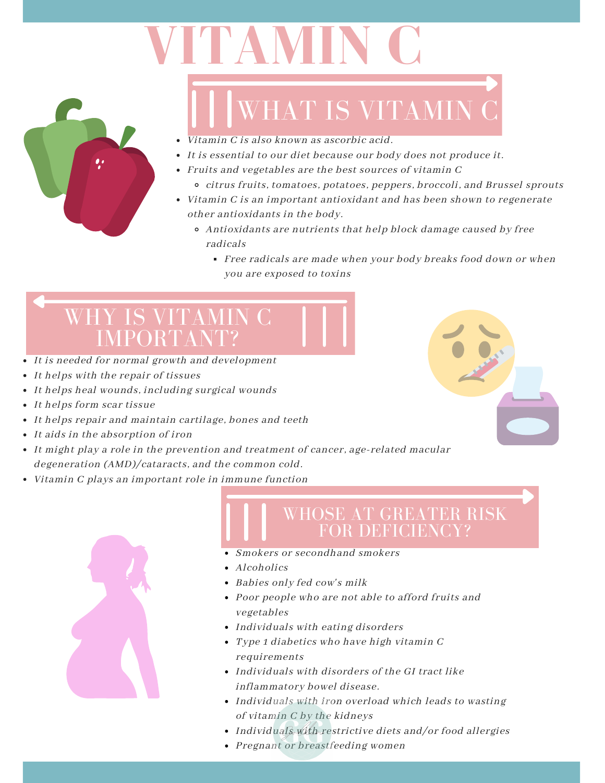# **VITAMIN C**



## WHAT IS VITAMIN C

- Vitamin C is also known as ascorbic acid.
- It is essential to our diet because our body does not produce it.
- Fruits and vegetables are the best sources of vitamin C
	- citrus fruits, tomatoes, potatoes, peppers, broccoli, and Brussel sprouts
- Vitamin C is an important antioxidant and has been shown to regenerate other antioxidants in the body.
	- Antioxidants are nutrients that help block damage caused by free radicals
		- Free radicals are made when your body breaks food down or when you are exposed to toxins

### WHY IS VITAMI IMPORTA

- It is needed for normal growth and development
- It helps with the repair of tissues
- It helps heal wounds, including surgical wounds
- It helps form scar tissue
- It helps repair and maintain cartilage, bones and teeth
- It aids in the absorption of iron
- It might play a role in the prevention and treatment of cancer, age-related macular degeneration (AMD)/cataracts, and the common cold.
- Vitamin C plays an important role in immune function



### WHOSE AT GREATER RISK FOR DEFICIENCY?

- Smokers or secondhand smokers
- Alcoholics
- Babies only fed cow's milk
- Poor people who are not able to afford fruits and vegetables
- Individuals with eating disorders
- Type 1 diabetics who have high vitamin C requirements
- Individuals with disorders of the GI tract like inflammatory bowel disease.
- Individuals with iron overload which leads to wasting of vitamin C by the kidneys
- Individuals with restrictive diets and/or food allergies
- Pregnant or breastfeeding women